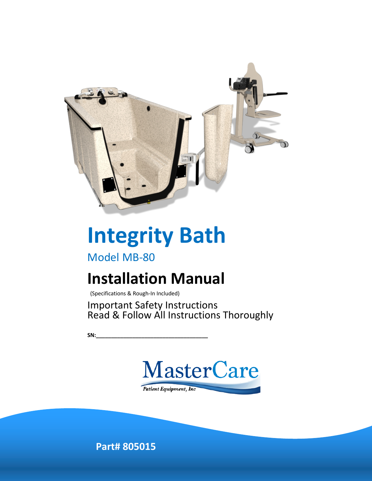

# **Integrity Bath**

Model MB-80

# **Installation Manual**

(Specifications & Rough-In Included)

Important Safety Instructions Read & Follow All Instructions Thoroughly

**SN:\_\_\_\_\_\_\_\_\_\_\_\_\_\_\_\_\_\_\_\_\_\_\_\_\_\_\_\_\_\_\_\_\_\_\_\_\_**



**Part# 805015**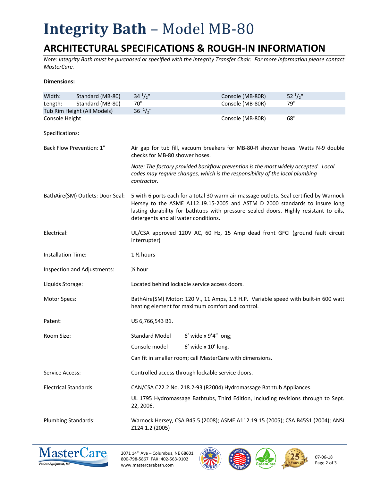# **Integrity Bath - Model MB-80**

### **ARCHITECTURAL SPECIFICATIONS & ROUGH-IN INFORMATION**

*Note: Integrity Bath must be purchased or specified with the Integrity Transfer Chair. For more information please contact MasterCare.*

#### **Dimensions:**

| Width:                           | Standard (MB-80)            | $34^{1}/2$ "                                                                                                                                                                                                                                                                                           | Console (MB-80R)                                                                                                                                                  | 52 $\frac{1}{2}$ " |  |
|----------------------------------|-----------------------------|--------------------------------------------------------------------------------------------------------------------------------------------------------------------------------------------------------------------------------------------------------------------------------------------------------|-------------------------------------------------------------------------------------------------------------------------------------------------------------------|--------------------|--|
| Length:                          | Standard (MB-80)            | 70"                                                                                                                                                                                                                                                                                                    | Console (MB-80R)                                                                                                                                                  | 79"                |  |
|                                  | Tub Rim Height (All Models) | $36 \frac{1}{2}$ "                                                                                                                                                                                                                                                                                     |                                                                                                                                                                   |                    |  |
| Console Height                   |                             |                                                                                                                                                                                                                                                                                                        | Console (MB-80R)                                                                                                                                                  | 68"                |  |
| Specifications:                  |                             |                                                                                                                                                                                                                                                                                                        |                                                                                                                                                                   |                    |  |
| Back Flow Prevention: 1"         |                             | Air gap for tub fill, vacuum breakers for MB-80-R shower hoses. Watts N-9 double<br>checks for MB-80 shower hoses.                                                                                                                                                                                     |                                                                                                                                                                   |                    |  |
|                                  |                             | contractor.                                                                                                                                                                                                                                                                                            | Note: The factory provided backflow prevention is the most widely accepted. Local<br>codes may require changes, which is the responsibility of the local plumbing |                    |  |
| BathAire(SM) Outlets: Door Seal: |                             | 5 with 6 ports each for a total 30 warm air massage outlets. Seal certified by Warnock<br>Hersey to the ASME A112.19.15-2005 and ASTM D 2000 standards to insure long<br>lasting durability for bathtubs with pressure sealed doors. Highly resistant to oils,<br>detergents and all water conditions. |                                                                                                                                                                   |                    |  |
| Electrical:                      |                             | UL/CSA approved 120V AC, 60 Hz, 15 Amp dead front GFCI (ground fault circuit<br>interrupter)                                                                                                                                                                                                           |                                                                                                                                                                   |                    |  |
| <b>Installation Time:</b>        |                             | 1 1/2 hours                                                                                                                                                                                                                                                                                            |                                                                                                                                                                   |                    |  |
| Inspection and Adjustments:      |                             | $\frac{1}{2}$ hour                                                                                                                                                                                                                                                                                     |                                                                                                                                                                   |                    |  |
| Liquids Storage:                 |                             | Located behind lockable service access doors.                                                                                                                                                                                                                                                          |                                                                                                                                                                   |                    |  |
| Motor Specs:                     |                             | BathAire(SM) Motor: 120 V., 11 Amps, 1.3 H.P. Variable speed with built-in 600 watt<br>heating element for maximum comfort and control.                                                                                                                                                                |                                                                                                                                                                   |                    |  |
| Patent:                          |                             | US 6,766,543 B1.                                                                                                                                                                                                                                                                                       |                                                                                                                                                                   |                    |  |
| Room Size:                       |                             | <b>Standard Model</b>                                                                                                                                                                                                                                                                                  | $6'$ wide x $9'4''$ long;                                                                                                                                         |                    |  |
|                                  |                             | Console model                                                                                                                                                                                                                                                                                          | $6'$ wide x $10'$ long.                                                                                                                                           |                    |  |
|                                  |                             |                                                                                                                                                                                                                                                                                                        | Can fit in smaller room; call MasterCare with dimensions.                                                                                                         |                    |  |
| Service Access:                  |                             | Controlled access through lockable service doors.                                                                                                                                                                                                                                                      |                                                                                                                                                                   |                    |  |
| <b>Electrical Standards:</b>     |                             | CAN/CSA C22.2 No. 218.2-93 (R2004) Hydromassage Bathtub Appliances.                                                                                                                                                                                                                                    |                                                                                                                                                                   |                    |  |
|                                  |                             | UL 1795 Hydromassage Bathtubs, Third Edition, Including revisions through to Sept.<br>22, 2006.                                                                                                                                                                                                        |                                                                                                                                                                   |                    |  |
| <b>Plumbing Standards:</b>       |                             | Warnock Hersey, CSA B45.5 (2008); ASME A112.19.15 (2005); CSA B45S1 (2004); ANSI<br>Z124.1.2 (2005)                                                                                                                                                                                                    |                                                                                                                                                                   |                    |  |



2071 14th Ave – Columbus, NE 68601 800-798-5867 FAX: 402-563-9102 www.mastercarebath.com





07-06-18 Page 2 of 3